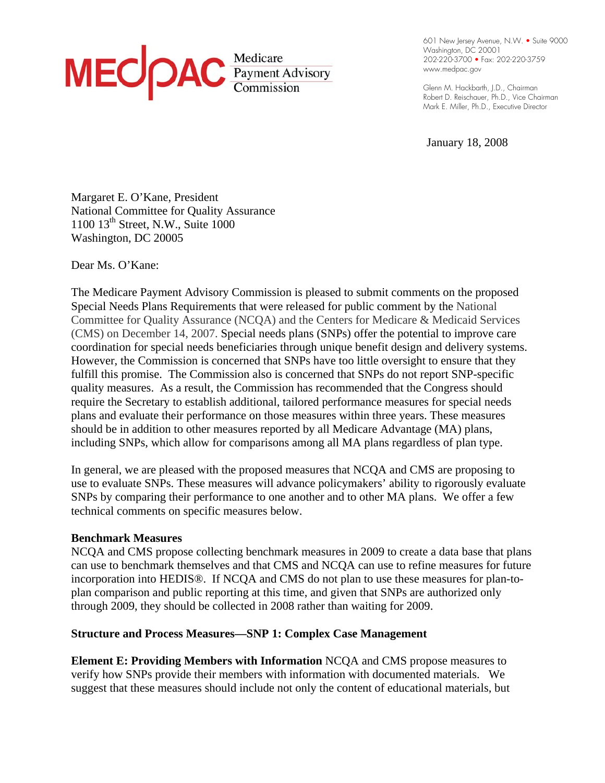

**. . .**  601 New Jersey Avenue, N.W. • Suite 9000 **. . .**  Washington, DC 20001 **. . .**  202-220-3700 • Fax: 202-220-3759 **. . . .**  www.medpac.gov

**. . .**  Glenn M. Hackbarth, J.D., Chairman **. . .**  Robert D. Reischauer, Ph.D., Vice Chairman **. .**  Mark E. Miller, Ph.D., Executive Director

January 18, 2008

Margaret E. O'Kane, President National Committee for Quality Assurance 1100 13th Street, N.W., Suite 1000 Washington, DC 20005

Dear Ms. O'Kane:

The Medicare Payment Advisory Commission is pleased to submit comments on the proposed Special Needs Plans Requirements that were released for public comment by the National Committee for Quality Assurance (NCQA) and the Centers for Medicare & Medicaid Services (CMS) on December 14, 2007. Special needs plans (SNPs) offer the potential to improve care coordination for special needs beneficiaries through unique benefit design and delivery systems. However, the Commission is concerned that SNPs have too little oversight to ensure that they fulfill this promise. The Commission also is concerned that SNPs do not report SNP-specific quality measures. As a result, the Commission has recommended that the Congress should require the Secretary to establish additional, tailored performance measures for special needs plans and evaluate their performance on those measures within three years. These measures should be in addition to other measures reported by all Medicare Advantage (MA) plans, including SNPs, which allow for comparisons among all MA plans regardless of plan type.

In general, we are pleased with the proposed measures that NCQA and CMS are proposing to use to evaluate SNPs. These measures will advance policymakers' ability to rigorously evaluate SNPs by comparing their performance to one another and to other MA plans. We offer a few technical comments on specific measures below.

### **Benchmark Measures**

NCQA and CMS propose collecting benchmark measures in 2009 to create a data base that plans can use to benchmark themselves and that CMS and NCQA can use to refine measures for future incorporation into HEDIS®. If NCQA and CMS do not plan to use these measures for plan-toplan comparison and public reporting at this time, and given that SNPs are authorized only through 2009, they should be collected in 2008 rather than waiting for 2009.

#### **Structure and Process Measures—SNP 1: Complex Case Management**

**Element E: Providing Members with Information** NCQA and CMS propose measures to verify how SNPs provide their members with information with documented materials. We suggest that these measures should include not only the content of educational materials, but